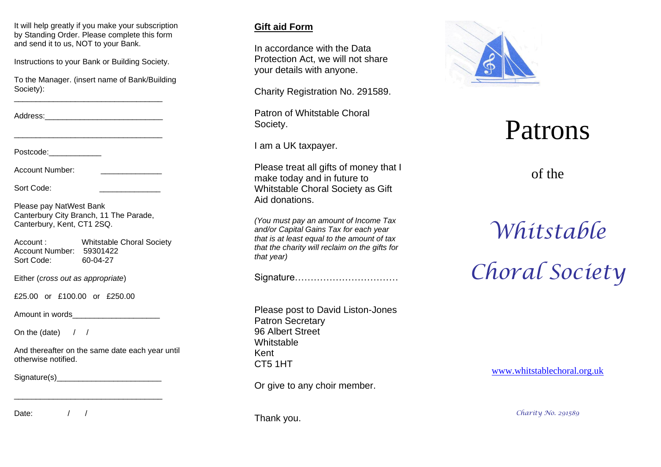It will help greatly if you make your subscription by Standing Order. Please complete this form and send it to us, NOT to your Bank.

Instructions to your Bank or Building Society.

To the Manager. (insert name of Bank/Building Society):

\_\_\_\_\_\_\_\_\_\_\_\_\_\_\_\_\_\_\_\_\_\_\_\_\_\_\_\_\_\_\_\_\_\_

\_\_\_\_\_\_\_\_\_\_\_\_\_\_\_\_\_\_\_\_\_\_\_\_\_\_\_\_\_\_\_\_\_\_

Address:

Postcode:

Account Number:

Sort Code:

Please pay NatWest Bank Canterbury City Branch, 11 The Parade, Canterbury, Kent, CT1 2SQ.

Account : Whitstable Choral Society Account Number: 59301422 Sort Code: -04 -27

Either (*cross out as appropriate* )

£25.00 or £100.00 or £250.00

Amount in words

On the (date)  $/ /$ 

And thereafter on the same date each year until otherwise notified.

\_\_\_\_\_\_\_\_\_\_\_\_\_\_\_\_\_\_\_\_\_\_\_\_\_\_\_\_\_\_\_\_\_\_

Signature(s)\_\_\_\_\_\_\_\_\_\_\_\_\_\_\_\_\_\_\_\_\_\_\_\_

Date: / /

## **Gift aid Form**

In accordance with the Data Protection Act, we will not share your details with anyone.

Charity Registration No. 291589.

Patron of Whitstable Choral Society.

I am a UK taxpayer.

Please treat all gifts of money that I make today and in future to Whitstable Choral Society as Gift Aid donations.

*(You must pay an amount of Income Tax and/or Capital Gains Tax for each year that is at least equal to the amount of tax that the charity will reclaim on the gifts for that year)*

Signature……………………………

Please post to David Liston -Jones Patron Secretary 96 Albert Street **Whitstable** Kent CT5 1HT

Or give to any choir member.



# Patrons

of the

*Whitstable Choral Society*

[www.whitstablechoral.org.uk](http://www.whitstablechoral.org.uk/)

Thank you.

*Charity No. 291589*